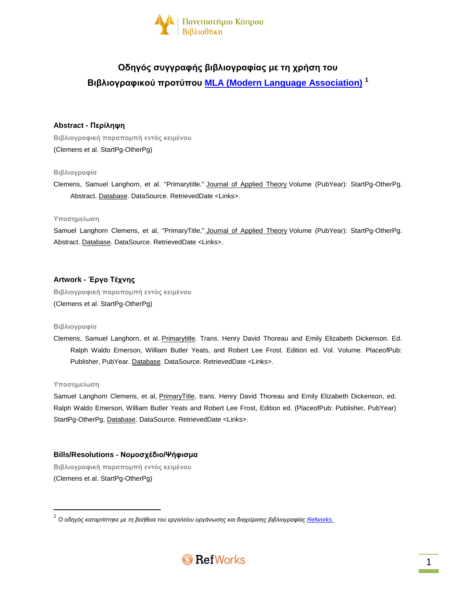

# **Οδηγός συγγραφής βιβλιογραφίας με τη χρήση του Βιβλιογραφικού προτύπου [MLA \(Modern Language Association\)](http://www.mla.org/) <sup>1</sup>**

# **Abstract - Περίληψη**

**Βιβλιογραφική παραπομπή εντός κειμένου** (Clemens et al. StartPg-OtherPg)

## **Βιβλιογραφία**

Clemens, Samuel Langhorn, et al. "Primarytitle." Journal of Applied Theory Volume (PubYear): StartPg-OtherPg. Abstract. Database. DataSource. RetrievedDate <Links>.

## **Υποσημείωση**

Samuel Langhorn Clemens, et al, "PrimaryTitle," Journal of Applied Theory Volume (PubYear): StartPg-OtherPg. Abstract. Database. DataSource. RetrievedDate <Links>.

# **Artwork - Έργο Τέχνης**

**Βιβλιογραφική παραπομπή εντός κειμένου** (Clemens et al. StartPg-OtherPg)

## **Βιβλιογραφία**

Clemens, Samuel Langhorn, et al. Primarytitle. Trans. Henry David Thoreau and Emily Elizabeth Dickenson. Ed. Ralph Waldo Emerson, William Butler Yeats, and Robert Lee Frost. Edition ed. Vol. Volume. PlaceofPub: Publisher, PubYear. Database. DataSource. RetrievedDate <Links>.

### **Υποσημείωση**

 $\overline{\phantom{a}}$ 

Samuel Langhorn Clemens, et al, PrimaryTitle, trans. Henry David Thoreau and Emily Elizabeth Dickenson, ed. Ralph Waldo Emerson, William Butler Yeats and Robert Lee Frost, Edition ed. (PlaceofPub: Publisher, PubYear) StartPg-OtherPg, Database. DataSource. RetrievedDate <Links>.

# **Bills/Resolutions - Νομοσχέδιο/Ψήφισμα**

**Βιβλιογραφική παραπομπή εντός κειμένου** (Clemens et al. StartPg-OtherPg)

<sup>.&</sup>lt;br><sup>1</sup> Ο οδηγός καταρτίστηκε με τη βοήθεια του εργαλείου οργάνωσης και διαχείρισης βιβλιογραφίας <u>Refworks.</u>

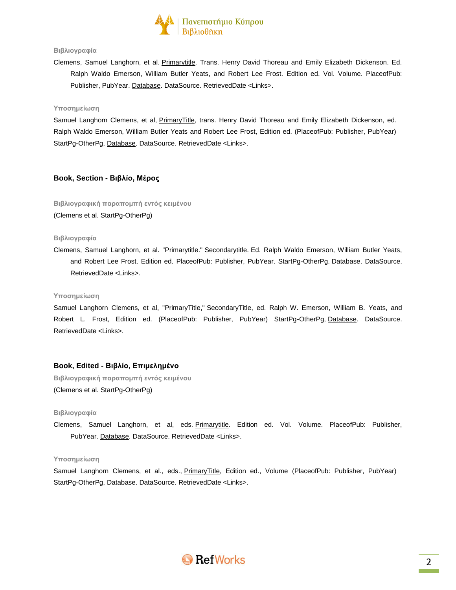

## **Βιβλιογραφία**

Clemens, Samuel Langhorn, et al. Primarytitle. Trans. Henry David Thoreau and Emily Elizabeth Dickenson. Ed. Ralph Waldo Emerson, William Butler Yeats, and Robert Lee Frost. Edition ed. Vol. Volume. PlaceofPub: Publisher, PubYear. Database. DataSource. RetrievedDate <Links>.

#### **Υποσημείωση**

Samuel Langhorn Clemens, et al, PrimaryTitle, trans. Henry David Thoreau and Emily Elizabeth Dickenson, ed. Ralph Waldo Emerson, William Butler Yeats and Robert Lee Frost, Edition ed. (PlaceofPub: Publisher, PubYear) StartPg-OtherPg, Database. DataSource. RetrievedDate <Links>.

## **Book, Section - Βιβλίο, Μέρος**

**Βιβλιογραφική παραπομπή εντός κειμένου** (Clemens et al. StartPg-OtherPg)

### **Βιβλιογραφία**

Clemens, Samuel Langhorn, et al. "Primarytitle." Secondarytitle. Ed. Ralph Waldo Emerson, William Butler Yeats, and Robert Lee Frost. Edition ed. PlaceofPub: Publisher, PubYear. StartPg-OtherPg. Database. DataSource. RetrievedDate <Links>.

#### **Υποσημείωση**

Samuel Langhorn Clemens, et al, "PrimaryTitle," SecondaryTitle, ed. Ralph W. Emerson, William B. Yeats, and Robert L. Frost, Edition ed. (PlaceofPub: Publisher, PubYear) StartPg-OtherPg, Database. DataSource. RetrievedDate <Links>.

### **Book, Edited - Βιβλίο, Επιμελημένο**

**Βιβλιογραφική παραπομπή εντός κειμένου** (Clemens et al. StartPg-OtherPg)

#### **Βιβλιογραφία**

Clemens, Samuel Langhorn, et al, eds. Primarytitle. Edition ed. Vol. Volume. PlaceofPub: Publisher, PubYear. Database. DataSource. RetrievedDate <Links>.

#### **Υποσημείωση**

Samuel Langhorn Clemens, et al., eds., PrimaryTitle, Edition ed., Volume (PlaceofPub: Publisher, PubYear) StartPg-OtherPg, Database. DataSource. RetrievedDate <Links>.

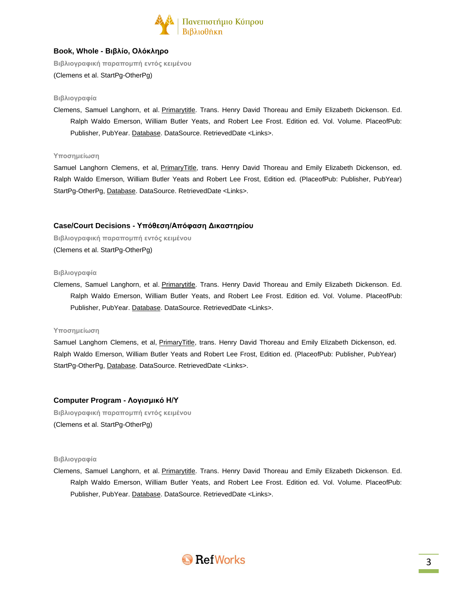

# **Book, Whole - Βιβλίο, Ολόκληρο**

**Βιβλιογραφική παραπομπή εντός κειμένου**

(Clemens et al. StartPg-OtherPg)

## **Βιβλιογραφία**

Clemens, Samuel Langhorn, et al. Primarytitle. Trans. Henry David Thoreau and Emily Elizabeth Dickenson. Ed. Ralph Waldo Emerson, William Butler Yeats, and Robert Lee Frost. Edition ed. Vol. Volume. PlaceofPub: Publisher, PubYear. Database. DataSource. RetrievedDate <Links>.

## **Υποσημείωση**

Samuel Langhorn Clemens, et al, PrimaryTitle, trans. Henry David Thoreau and Emily Elizabeth Dickenson, ed. Ralph Waldo Emerson, William Butler Yeats and Robert Lee Frost, Edition ed. (PlaceofPub: Publisher, PubYear) StartPg-OtherPg, Database. DataSource. RetrievedDate <Links>.

# **Case/Court Decisions - Υπόθεση/Απόφαση Δικαστηρίου**

**Βιβλιογραφική παραπομπή εντός κειμένου** (Clemens et al. StartPg-OtherPg)

**Βιβλιογραφία**

Clemens, Samuel Langhorn, et al. Primarytitle. Trans. Henry David Thoreau and Emily Elizabeth Dickenson. Ed. Ralph Waldo Emerson, William Butler Yeats, and Robert Lee Frost. Edition ed. Vol. Volume. PlaceofPub: Publisher, PubYear. Database. DataSource. RetrievedDate <Links>.

### **Υποσημείωση**

Samuel Langhorn Clemens, et al, PrimaryTitle, trans. Henry David Thoreau and Emily Elizabeth Dickenson, ed. Ralph Waldo Emerson, William Butler Yeats and Robert Lee Frost, Edition ed. (PlaceofPub: Publisher, PubYear) StartPg-OtherPg, Database. DataSource. RetrievedDate <Links>.

# **Computer Program - Λογισμικό Η/Υ**

**Βιβλιογραφική παραπομπή εντός κειμένου** (Clemens et al. StartPg-OtherPg)

### **Βιβλιογραφία**

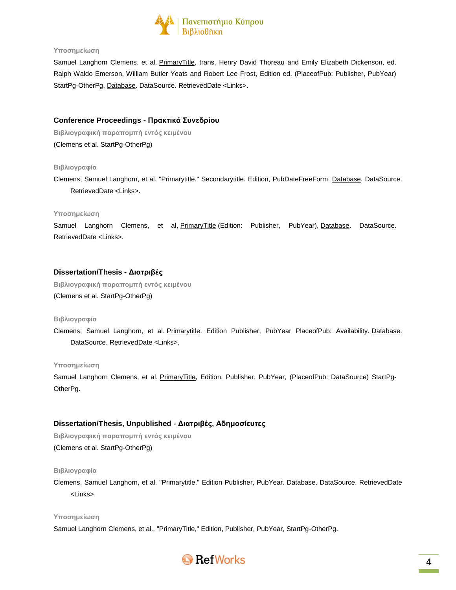

Samuel Langhorn Clemens, et al, PrimaryTitle, trans. Henry David Thoreau and Emily Elizabeth Dickenson, ed. Ralph Waldo Emerson, William Butler Yeats and Robert Lee Frost, Edition ed. (PlaceofPub: Publisher, PubYear) StartPg-OtherPg, Database. DataSource. RetrievedDate <Links>.

# **Conference Proceedings - Πρακτικά Συνεδρίου**

**Βιβλιογραφική παραπομπή εντός κειμένου** (Clemens et al. StartPg-OtherPg)

### **Βιβλιογραφία**

Clemens, Samuel Langhorn, et al. "Primarytitle." Secondarytitle. Edition, PubDateFreeForm. Database. DataSource. RetrievedDate <Links>.

### **Υποσημείωση**

Samuel Langhorn Clemens, et al, PrimaryTitle (Edition: Publisher, PubYear), Database. DataSource. RetrievedDate <Links>.

# **Dissertation/Thesis - Διατριβές**

**Βιβλιογραφική παραπομπή εντός κειμένου** (Clemens et al. StartPg-OtherPg)

### **Βιβλιογραφία**

Clemens, Samuel Langhorn, et al. Primarytitle. Edition Publisher, PubYear PlaceofPub: Availability. Database. DataSource. RetrievedDate <Links>.

### **Υποσημείωση**

Samuel Langhorn Clemens, et al, PrimaryTitle, Edition, Publisher, PubYear, (PlaceofPub: DataSource) StartPg-OtherPg.

# **Dissertation/Thesis, Unpublished - Διατριβές, Αδημοσίευτες**

**Βιβλιογραφική παραπομπή εντός κειμένου** (Clemens et al. StartPg-OtherPg)

### **Βιβλιογραφία**

Clemens, Samuel Langhorn, et al. "Primarytitle." Edition Publisher, PubYear. Database. DataSource. RetrievedDate <Links>.

### **Υποσημείωση**

Samuel Langhorn Clemens, et al., "PrimaryTitle," Edition, Publisher, PubYear, StartPg-OtherPg.

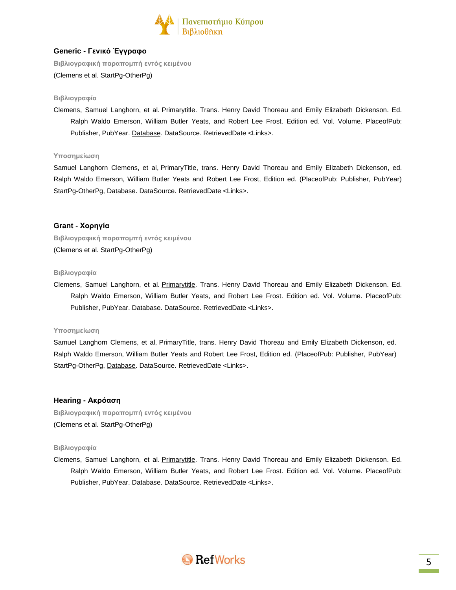

# **Generic - Γενικό Έγγραφο**

**Βιβλιογραφική παραπομπή εντός κειμένου**

(Clemens et al. StartPg-OtherPg)

## **Βιβλιογραφία**

Clemens, Samuel Langhorn, et al. Primarytitle. Trans. Henry David Thoreau and Emily Elizabeth Dickenson. Ed. Ralph Waldo Emerson, William Butler Yeats, and Robert Lee Frost. Edition ed. Vol. Volume. PlaceofPub: Publisher, PubYear. Database. DataSource. RetrievedDate <Links>.

## **Υποσημείωση**

Samuel Langhorn Clemens, et al, PrimaryTitle, trans. Henry David Thoreau and Emily Elizabeth Dickenson, ed. Ralph Waldo Emerson, William Butler Yeats and Robert Lee Frost, Edition ed. (PlaceofPub: Publisher, PubYear) StartPg-OtherPg, Database. DataSource. RetrievedDate <Links>.

# **Grant - Χορηγία**

**Βιβλιογραφική παραπομπή εντός κειμένου** (Clemens et al. StartPg-OtherPg)

### **Βιβλιογραφία**

Clemens, Samuel Langhorn, et al. Primarytitle. Trans. Henry David Thoreau and Emily Elizabeth Dickenson. Ed. Ralph Waldo Emerson, William Butler Yeats, and Robert Lee Frost. Edition ed. Vol. Volume. PlaceofPub: Publisher, PubYear. Database. DataSource. RetrievedDate <Links>.

### **Υποσημείωση**

Samuel Langhorn Clemens, et al, PrimaryTitle, trans. Henry David Thoreau and Emily Elizabeth Dickenson, ed. Ralph Waldo Emerson, William Butler Yeats and Robert Lee Frost, Edition ed. (PlaceofPub: Publisher, PubYear) StartPg-OtherPg, Database. DataSource. RetrievedDate <Links>.

# **Hearing - Ακρόαση**

**Βιβλιογραφική παραπομπή εντός κειμένου** (Clemens et al. StartPg-OtherPg)

## **Βιβλιογραφία**

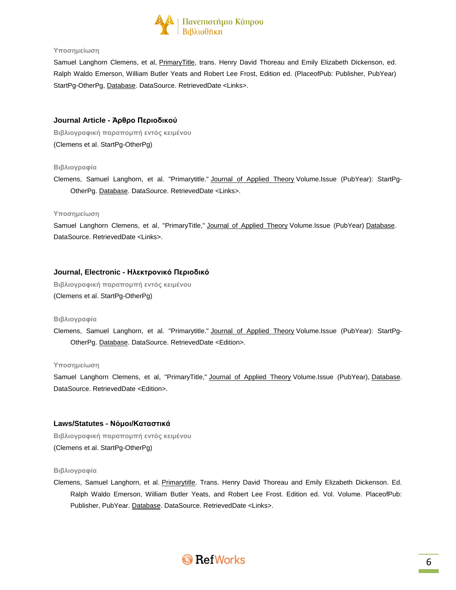

Samuel Langhorn Clemens, et al, PrimaryTitle, trans. Henry David Thoreau and Emily Elizabeth Dickenson, ed. Ralph Waldo Emerson, William Butler Yeats and Robert Lee Frost, Edition ed. (PlaceofPub: Publisher, PubYear) StartPg-OtherPg, Database. DataSource. RetrievedDate <Links>.

## **Journal Article - Άρθρο Περιοδικού**

**Βιβλιογραφική παραπομπή εντός κειμένου** (Clemens et al. StartPg-OtherPg)

#### **Βιβλιογραφία**

Clemens, Samuel Langhorn, et al. "Primarytitle." Journal of Applied Theory Volume.Issue (PubYear): StartPg-OtherPg. Database. DataSource. RetrievedDate <Links>.

#### **Υποσημείωση**

Samuel Langhorn Clemens, et al, "PrimaryTitle," Journal of Applied Theory Volume.Issue (PubYear) Database. DataSource. RetrievedDate <Links>.

## **Journal, Electronic - Ηλεκτρονικό Περιοδικό**

**Βιβλιογραφική παραπομπή εντός κειμένου** (Clemens et al. StartPg-OtherPg)

#### **Βιβλιογραφία**

Clemens, Samuel Langhorn, et al. "Primarytitle." Journal of Applied Theory Volume.Issue (PubYear): StartPg-OtherPg. Database. DataSource. RetrievedDate <Edition>.

#### **Υποσημείωση**

Samuel Langhorn Clemens, et al, "PrimaryTitle," Journal of Applied Theory Volume.Issue (PubYear), Database. DataSource. RetrievedDate <Edition>.

### **Laws/Statutes - Νόμοι/Καταστικά**

**Βιβλιογραφική παραπομπή εντός κειμένου** (Clemens et al. StartPg-OtherPg)

#### **Βιβλιογραφία**

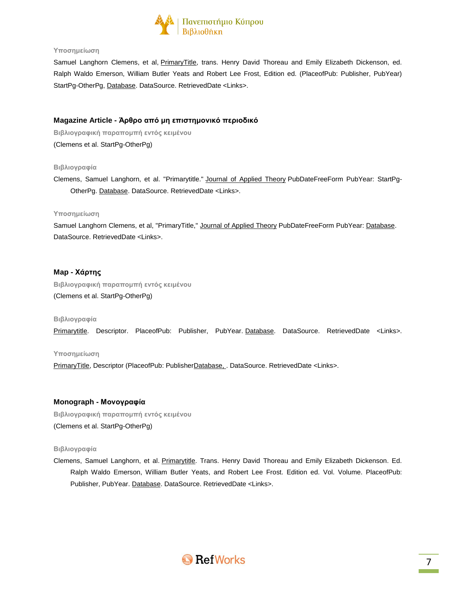

Samuel Langhorn Clemens, et al, PrimaryTitle, trans. Henry David Thoreau and Emily Elizabeth Dickenson, ed. Ralph Waldo Emerson, William Butler Yeats and Robert Lee Frost, Edition ed. (PlaceofPub: Publisher, PubYear) StartPg-OtherPg, Database. DataSource. RetrievedDate <Links>.

# **Magazine Article - Άρθρο από μη επιστημονικό περιοδικό**

**Βιβλιογραφική παραπομπή εντός κειμένου** (Clemens et al. StartPg-OtherPg)

### **Βιβλιογραφία**

Clemens, Samuel Langhorn, et al. "Primarytitle." Journal of Applied Theory PubDateFreeForm PubYear: StartPg-OtherPg. Database. DataSource. RetrievedDate <Links>.

## **Υποσημείωση**

Samuel Langhorn Clemens, et al, "PrimaryTitle," Journal of Applied Theory PubDateFreeForm PubYear: Database. DataSource. RetrievedDate <Links>.

# **Map - Χάρτης**

**Βιβλιογραφική παραπομπή εντός κειμένου** (Clemens et al. StartPg-OtherPg)

### **Βιβλιογραφία**

Primarytitle. Descriptor. PlaceofPub: Publisher, PubYear. Database. DataSource. RetrievedDate <Links>.

### **Υποσημείωση**

PrimaryTitle, Descriptor (PlaceofPub: PublisherDatabase, . DataSource. RetrievedDate <Links>.

# **Monograph - Μονογραφία**

**Βιβλιογραφική παραπομπή εντός κειμένου** (Clemens et al. StartPg-OtherPg)

### **Βιβλιογραφία**

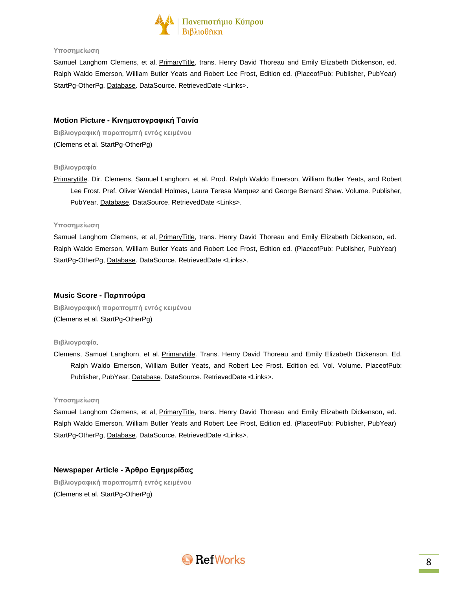

Samuel Langhorn Clemens, et al, PrimaryTitle, trans. Henry David Thoreau and Emily Elizabeth Dickenson, ed. Ralph Waldo Emerson, William Butler Yeats and Robert Lee Frost, Edition ed. (PlaceofPub: Publisher, PubYear) StartPg-OtherPg, Database. DataSource. RetrievedDate <Links>.

## **Motion Picture - Κινηματογραφική Ταινία**

**Βιβλιογραφική παραπομπή εντός κειμένου** (Clemens et al. StartPg-OtherPg)

### **Βιβλιογραφία**

Primarytitle. Dir. Clemens, Samuel Langhorn, et al. Prod. Ralph Waldo Emerson, William Butler Yeats, and Robert Lee Frost. Pref. Oliver Wendall Holmes, Laura Teresa Marquez and George Bernard Shaw. Volume. Publisher, PubYear. Database. DataSource. RetrievedDate <Links>.

#### **Υποσημείωση**

Samuel Langhorn Clemens, et al, PrimaryTitle, trans. Henry David Thoreau and Emily Elizabeth Dickenson, ed. Ralph Waldo Emerson, William Butler Yeats and Robert Lee Frost, Edition ed. (PlaceofPub: Publisher, PubYear) StartPg-OtherPg, Database. DataSource. RetrievedDate <Links>.

## **Music Score - Παρτιτούρα**

**Βιβλιογραφική παραπομπή εντός κειμένου** (Clemens et al. StartPg-OtherPg)

### **Βιβλιογραφία**.

Clemens, Samuel Langhorn, et al. Primarytitle. Trans. Henry David Thoreau and Emily Elizabeth Dickenson. Ed. Ralph Waldo Emerson, William Butler Yeats, and Robert Lee Frost. Edition ed. Vol. Volume. PlaceofPub: Publisher, PubYear. Database. DataSource. RetrievedDate <Links>.

#### **Υποσημείωση**

Samuel Langhorn Clemens, et al, PrimaryTitle, trans. Henry David Thoreau and Emily Elizabeth Dickenson, ed. Ralph Waldo Emerson, William Butler Yeats and Robert Lee Frost, Edition ed. (PlaceofPub: Publisher, PubYear) StartPg-OtherPg, Database. DataSource. RetrievedDate <Links>.

**Newspaper Article - Άρθρο Εφημερίδας**

**Βιβλιογραφική παραπομπή εντός κειμένου** (Clemens et al. StartPg-OtherPg)

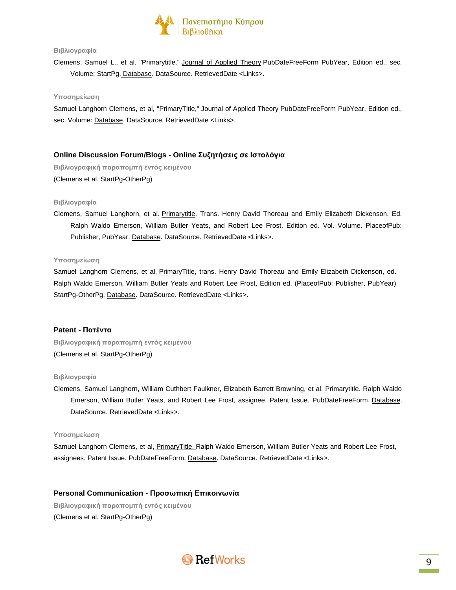

## **Βιβλιογραφία**

Clemens, Samuel L., et al. "Primarytitle." Journal of Applied Theory PubDateFreeForm PubYear, Edition ed., sec. Volume: StartPg. Database. DataSource. RetrievedDate <Links>.

#### **Υποσημείωση**

Samuel Langhorn Clemens, et al, "PrimaryTitle," Journal of Applied Theory PubDateFreeForm PubYear, Edition ed., sec. Volume: Database. DataSource. RetrievedDate <Links>.

# **Online Discussion Forum/Blogs - Online Συζητήσεις σε Ιστολόγια**

**Βιβλιογραφική παραπομπή εντός κειμένου** (Clemens et al. StartPg-OtherPg)

#### **Βιβλιογραφία**

Clemens, Samuel Langhorn, et al. Primarytitle. Trans. Henry David Thoreau and Emily Elizabeth Dickenson. Ed. Ralph Waldo Emerson, William Butler Yeats, and Robert Lee Frost. Edition ed. Vol. Volume. PlaceofPub: Publisher, PubYear. Database. DataSource. RetrievedDate <Links>.

#### **Υποσημείωση**

Samuel Langhorn Clemens, et al, PrimaryTitle, trans. Henry David Thoreau and Emily Elizabeth Dickenson, ed. Ralph Waldo Emerson, William Butler Yeats and Robert Lee Frost, Edition ed. (PlaceofPub: Publisher, PubYear) StartPg-OtherPg, Database. DataSource. RetrievedDate <Links>.

### **Patent - Πατέντα**

**Βιβλιογραφική παραπομπή εντός κειμένου** (Clemens et al. StartPg-OtherPg)

#### **Βιβλιογραφία**

Clemens, Samuel Langhorn, William Cuthbert Faulkner, Elizabeth Barrett Browning, et al. Primarytitle. Ralph Waldo Emerson, William Butler Yeats, and Robert Lee Frost, assignee. Patent Issue. PubDateFreeForm. Database. DataSource. RetrievedDate <Links>.

#### **Υποσημείωση**

Samuel Langhorn Clemens, et al, PrimaryTitle. Ralph Waldo Emerson, William Butler Yeats and Robert Lee Frost, assignees. Patent Issue. PubDateFreeForm, Database. DataSource. RetrievedDate <Links>.

### **Personal Communication - Προσωπική Επικοινωνία**

**Βιβλιογραφική παραπομπή εντός κειμένου** (Clemens et al. StartPg-OtherPg)

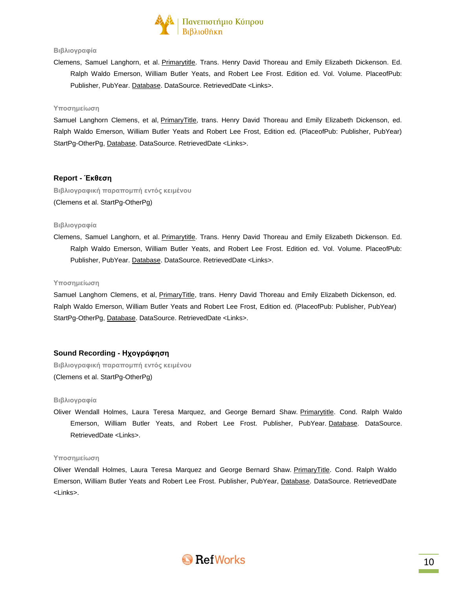

## **Βιβλιογραφία**

Clemens, Samuel Langhorn, et al. Primarytitle. Trans. Henry David Thoreau and Emily Elizabeth Dickenson. Ed. Ralph Waldo Emerson, William Butler Yeats, and Robert Lee Frost. Edition ed. Vol. Volume. PlaceofPub: Publisher, PubYear. Database. DataSource. RetrievedDate <Links>.

#### **Υποσημείωση**

Samuel Langhorn Clemens, et al, PrimaryTitle, trans. Henry David Thoreau and Emily Elizabeth Dickenson, ed. Ralph Waldo Emerson, William Butler Yeats and Robert Lee Frost, Edition ed. (PlaceofPub: Publisher, PubYear) StartPg-OtherPg, Database. DataSource. RetrievedDate <Links>.

# **Report - Έκθεση**

**Βιβλιογραφική παραπομπή εντός κειμένου** (Clemens et al. StartPg-OtherPg)

## **Βιβλιογραφία**

Clemens, Samuel Langhorn, et al. Primarytitle. Trans. Henry David Thoreau and Emily Elizabeth Dickenson. Ed. Ralph Waldo Emerson, William Butler Yeats, and Robert Lee Frost. Edition ed. Vol. Volume. PlaceofPub: Publisher, PubYear. Database. DataSource. RetrievedDate <Links>.

#### **Υποσημείωση**

Samuel Langhorn Clemens, et al, PrimaryTitle, trans. Henry David Thoreau and Emily Elizabeth Dickenson, ed. Ralph Waldo Emerson, William Butler Yeats and Robert Lee Frost, Edition ed. (PlaceofPub: Publisher, PubYear) StartPg-OtherPg, Database. DataSource. RetrievedDate <Links>.

### **Sound Recording - Ηχογράφηση**

**Βιβλιογραφική παραπομπή εντός κειμένου** (Clemens et al. StartPg-OtherPg)

#### **Βιβλιογραφία**

Oliver Wendall Holmes, Laura Teresa Marquez, and George Bernard Shaw. Primarytitle. Cond. Ralph Waldo Emerson, William Butler Yeats, and Robert Lee Frost. Publisher, PubYear. Database. DataSource. RetrievedDate <Links>.

#### **Υποσημείωση**

Oliver Wendall Holmes, Laura Teresa Marquez and George Bernard Shaw. PrimaryTitle. Cond. Ralph Waldo Emerson, William Butler Yeats and Robert Lee Frost. Publisher, PubYear, Database. DataSource. RetrievedDate <Links>.